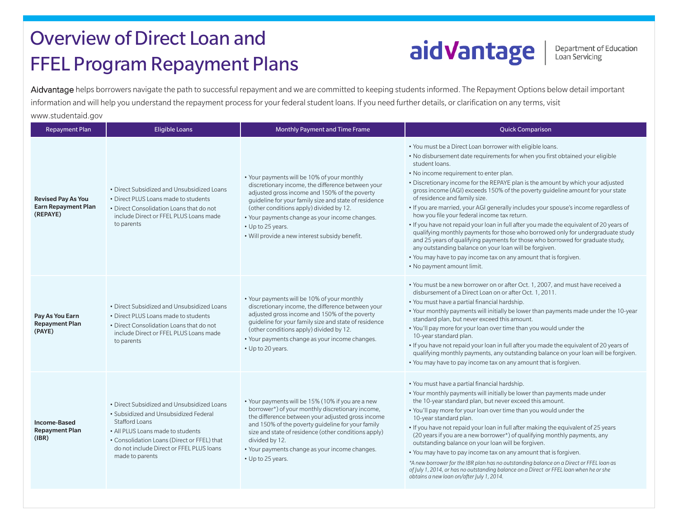## Overview of Direct Loan and FFEL Program Repayment Plans

## aidVantage

Department of Education<br>Loan Servicing

Aidvantage helps borrowers navigate the path to successful repayment and we are committed to keeping students informed. The Repayment Options below detail important information and will help you understand the repayment process for your federal student loans. If you need further details, or clarification on any terms, visit [www.studentaid.gov](https://studentaid.ed.gov/sa/) 

| <b>Repayment Plan</b>                                               | <b>Eligible Loans</b>                                                                                                                                                                                                                                           | Monthly Payment and Time Frame                                                                                                                                                                                                                                                                                                                                                 | <b>Quick Comparison</b>                                                                                                                                                                                                                                                                                                                                                                                                                                                                                                                                                                                                                                                                                                                                                                                                                                                                                                                                                          |
|---------------------------------------------------------------------|-----------------------------------------------------------------------------------------------------------------------------------------------------------------------------------------------------------------------------------------------------------------|--------------------------------------------------------------------------------------------------------------------------------------------------------------------------------------------------------------------------------------------------------------------------------------------------------------------------------------------------------------------------------|----------------------------------------------------------------------------------------------------------------------------------------------------------------------------------------------------------------------------------------------------------------------------------------------------------------------------------------------------------------------------------------------------------------------------------------------------------------------------------------------------------------------------------------------------------------------------------------------------------------------------------------------------------------------------------------------------------------------------------------------------------------------------------------------------------------------------------------------------------------------------------------------------------------------------------------------------------------------------------|
| <b>Revised Pay As You</b><br><b>Earn Repayment Plan</b><br>(REPAYE) | • Direct Subsidized and Unsubsidized Loans<br>• Direct PLUS Loans made to students<br>• Direct Consolidation Loans that do not<br>include Direct or FFEL PLUS Loans made<br>to parents                                                                          | • Your payments will be 10% of your monthly<br>discretionary income, the difference between your<br>adjusted gross income and 150% of the poverty<br>guideline for your family size and state of residence<br>(other conditions apply) divided by 12.<br>• Your payments change as your income changes.<br>• Up to 25 years.<br>. Will provide a new interest subsidy benefit. | • You must be a Direct Loan borrower with eligible loans.<br>. No disbursement date requirements for when you first obtained your eligible<br>student loans.<br>• No income requirement to enter plan.<br>• Discretionary income for the REPAYE plan is the amount by which your adjusted<br>gross income (AGI) exceeds 150% of the poverty guideline amount for your state<br>of residence and family size.<br>. If you are married, your AGI generally includes your spouse's income regardless of<br>how you file your federal income tax return.<br>. If you have not repaid your loan in full after you made the equivalent of 20 years of<br>qualifying monthly payments for those who borrowed only for undergraduate study<br>and 25 years of qualifying payments for those who borrowed for graduate study,<br>any outstanding balance on your loan will be forgiven.<br>• You may have to pay income tax on any amount that is forgiven.<br>• No payment amount limit. |
| Pay As You Earn<br><b>Repayment Plan</b><br>(PAYE)                  | • Direct Subsidized and Unsubsidized Loans<br>• Direct PLUS Loans made to students<br>• Direct Consolidation Loans that do not<br>include Direct or FFEL PLUS Loans made<br>to parents                                                                          | • Your payments will be 10% of your monthly<br>discretionary income, the difference between your<br>adjusted gross income and 150% of the poverty<br>guideline for your family size and state of residence<br>(other conditions apply) divided by 12.<br>• Your payments change as your income changes.<br>• Up to 20 years.                                                   | • You must be a new borrower on or after Oct. 1, 2007, and must have received a<br>disbursement of a Direct Loan on or after Oct. 1, 2011.<br>• You must have a partial financial hardship.<br>. Your monthly payments will initially be lower than payments made under the 10-year<br>standard plan, but never exceed this amount.<br>. You'll pay more for your loan over time than you would under the<br>10-year standard plan.<br>. If you have not repaid your loan in full after you made the equivalent of 20 years of<br>qualifying monthly payments, any outstanding balance on your loan will be forgiven.<br>• You may have to pay income tax on any amount that is forgiven.                                                                                                                                                                                                                                                                                        |
| <b>Income-Based</b><br><b>Repayment Plan</b><br>(IBR)               | • Direct Subsidized and Unsubsidized Loans<br>• Subsidized and Unsubsidized Federal<br><b>Stafford Loans</b><br>• All PLUS Loans made to students<br>• Consolidation Loans (Direct or FFEL) that<br>do not include Direct or FFEL PLUS loans<br>made to parents | • Your payments will be 15% (10% if you are a new<br>borrower*) of your monthly discretionary income,<br>the difference between your adjusted gross income<br>and 150% of the poverty guideline for your family<br>size and state of residence (other conditions apply)<br>divided by 12.<br>• Your payments change as your income changes.<br>• Up to 25 years.               | • You must have a partial financial hardship.<br>. Your monthly payments will initially be lower than payments made under<br>the 10-year standard plan, but never exceed this amount.<br>. You'll pay more for your loan over time than you would under the<br>10-year standard plan.<br>. If you have not repaid your loan in full after making the equivalent of 25 years<br>(20 years if you are a new borrower*) of qualifying monthly payments, any<br>outstanding balance on your loan will be forgiven.<br>• You may have to pay income tax on any amount that is forgiven.<br>*A new borrower for the IBR plan has no outstanding balance on a Direct or FFEL loan as<br>of July 1, 2014, or has no outstanding balance on a Direct or FFEL loan when he or she<br>obtains a new loan on/after July 1, 2014.                                                                                                                                                             |